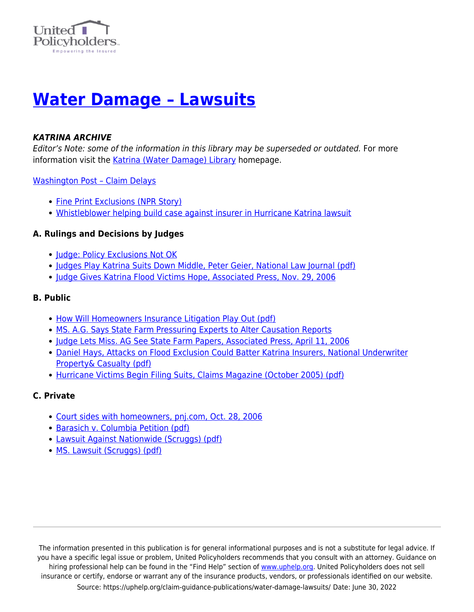

# **[Water Damage – Lawsuits](https://uphelp.org/claim-guidance-publications/water-damage-lawsuits/)**

#### *KATRINA ARCHIVE*

Editor's Note: some of the information in this library may be superseded or outdated. For more information visit the [Katrina \(Water Damage\) Library](https://uphelp.org/claim-guidance-publications/katrina-water-damage-library-archive/) homepage.

[Washington Post – Claim Delays](https://www.uphelp.org/disaster/tip_katrina_home.html#Homeowners)

- [Fine Print Exclusions \(NPR Story\)](http://www.npr.org/templates/story/story.php?storyId=4850521)
- [Whistleblower helping build case against insurer in Hurricane Katrina lawsuit](https://www.uphelp.org/disaster/katrina_/articles/katrina_whistleblower.html)

#### **A. Rulings and Decisions by Judges**

- [Judge: Policy Exclusions Not OK](https://www.uphelp.org/disaster/katrina_/articles/katrina_MSjudge4.html)
- [Judges Play Katrina Suits Down Middle, Peter Geier, National Law Journal \(pdf\)](https://www.uphelp.org/disaster/library/JudgesPlayMiddle.pdf)
- [Judge Gives Katrina Flood Victims Hope, Associated Press, Nov. 29, 2006](https://www.uphelp.org/disaster/katrina_/articles/katrina_JudgeHope.html)

## **B. Public**

- [How Will Homeowners Insurance Litigation Play Out \(pdf\)](https://uphelp.org/wp-content/uploads/2020/10/HowWillHomeownersInsuranceLitigationPlayOut.pdf)
- [MS. A.G. Says State Farm Pressuring Experts to Alter Causation Reports](https://www.uphelp.org/disaster/katrina_/articles/katrina_RecordsDemand.html)
- [Judge Lets Miss. AG See State Farm Papers, Associated Press, April 11, 2006](https://www.uphelp.org/disaster/katrina_/articles/katrina_MSjudge.html)
- [Daniel Hays, Attacks on Flood Exclusion Could Batter Katrina Insurers, National Underwriter](https://uphelp.org/wp-content/uploads/2020/10/danielhays.pdf) [Property& Casualty \(pdf\)](https://uphelp.org/wp-content/uploads/2020/10/danielhays.pdf)
- [Hurricane Victims Begin Filing Suits, Claims Magazine \(October 2005\) \(pdf\)](https://www.uphelp.org/disaster/library/FilingSuits.pdf)

#### **C. Private**

- [Court sides with homeowners, pnj.com, Oct. 28, 2006](https://www.uphelp.org/disaster/katrina_/articles/katrina_CourtSides.html)
- **[Barasich v. Columbia Petition \(pdf\)](https://uphelp.org/wp-content/uploads/2020/10/barasichvcolumbiapetition.pdf)**
- [Lawsuit Against Nationwide \(Scruggs\) \(pdf\)](https://www.uphelp.org/disaster/library/LeonardVNationwideReFloodDmg051021.pdf)
- [MS. Lawsuit \(Scruggs\) \(pdf\)](https://www.uphelp.org/disaster/library/ArticleReScruggsSuit.pdf)

The information presented in this publication is for general informational purposes and is not a substitute for legal advice. If you have a specific legal issue or problem, United Policyholders recommends that you consult with an attorney. Guidance on hiring professional help can be found in the "Find Help" section of [www.uphelp.org.](http://www.uphelp.org/) United Policyholders does not sell insurance or certify, endorse or warrant any of the insurance products, vendors, or professionals identified on our website. Source: https://uphelp.org/claim-guidance-publications/water-damage-lawsuits/ Date: June 30, 2022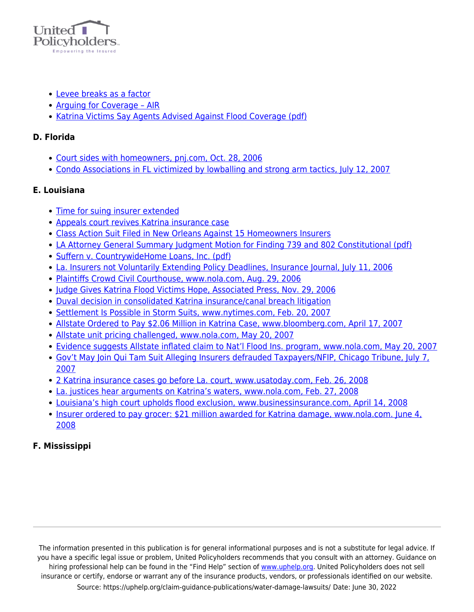

- [Levee breaks as a factor](https://www.uphelp.org/disaster/tip_katrina_articles.html#experts)
- Arguing for Coverage AIR
- [Katrina Victims Say Agents Advised Against Flood Coverage \(pdf\)](https://uphelp.org/wp-content/uploads/2020/10/AgainstFloodCoverage.pdf)

#### **D. Florida**

- [Court sides with homeowners, pnj.com, Oct. 28, 2006](https://www.uphelp.org/disaster/katrina_/articles/katrina_CourtSides.html)
- [Condo Associations in FL victimized by lowballing and strong arm tactics, July 12, 2007](https://www.uphelp.org/disaster/katrina_/articles/katrina_hurricane_FL.html)

## **E. Louisiana**

- [Time for suing insurer extended](http://www.nola.com/business/t-p/index.ssf?/base/money-2/1239081743120020.xml&coll=1)
- [Appeals court revives Katrina insurance case](https://www.uphelp.org/disaster/katrina_/articles/katrina_AppealscourtrevivesKatrinainsurancecase_LA.html)
- [Class Action Suit Filed in New Orleans Against 15 Homeowners Insurers](https://www.uphelp.org/disaster/katrina_/articles/katrina_NewOrleansSuit.html)
- [LA Attorney General Summary Judgment Motion for Finding 739 and 802 Constitutional \(pdf\)](https://www.uphelp.org/disaster/library/Motion739and802Constitutional.pdf)
- [Suffern v. CountrywideHome Loans, Inc. \(pdf\)](https://www.uphelp.org/disaster/library/SuffernVSCountrywide.pdf)
- [La. Insurers not Voluntarily Extending Policy Deadlines, Insurance Journal, July 11, 2006](https://www.uphelp.org/disaster/katrina_/articles/katrina_notVoluntarily.html)
- [Plaintiffs Crowd Civil Courthouse, www.nola.com, Aug. 29, 2006](https://www.uphelp.org/disaster/katrina_/articles/katrina_CrowdCourt.html)
- [Judge Gives Katrina Flood Victims Hope, Associated Press, Nov. 29, 2006](https://www.uphelp.org/disaster/katrina_/articles/katrina_JudgeHope.html)
- [Duval decision in consolidated Katrina insurance/canal breach litigation](https://uphelp.org/wp-content/uploads/2020/10/Duval_decision.pdf)
- [Settlement Is Possible in Storm Suits, www.nytimes.com, Feb. 20, 2007](https://www.uphelp.org/disaster/katrina_/articles/katrina_Settlement.html)
- [Allstate Ordered to Pay \\$2.06 Million in Katrina Case, www.bloomberg.com, April 17, 2007](https://www.uphelp.org/disaster/katrina_/articles/katrina_AllstateOrdered.html)
- [Allstate unit pricing challenged, www.nola.com, May 20, 2007](https://www.uphelp.org/disaster/katrina_/articles/katrina_Allstate_challenged.html)
- [Evidence suggests Allstate inflated claim to Nat'l Flood Ins. program, www.nola.com, May 20, 2007](https://www.uphelp.org/disaster/katrina_/articles/katrina_Inflated.html)
- [Gov't May Join Qui Tam Suit Alleging Insurers defrauded Taxpayers/NFIP, Chicago Tribune, July 7,](https://www.uphelp.org/disaster/katrina_/articles/katrina_USlawsuits.html) [2007](https://www.uphelp.org/disaster/katrina_/articles/katrina_USlawsuits.html)
- [2 Katrina insurance cases go before La. court, www.usatoday.com, Feb. 26, 2008](https://www.uphelp.org/disaster/katrina_/articles/katrina_2Cases_LA.html)
- [La. justices hear arguments on Katrina's waters, www.nola.com, Feb. 27, 2008](https://www.uphelp.org/disaster/katrina_/articles/katrina_LAJustices.html)
- [Louisiana's high court upholds flood exclusion, www.businessinsurance.com, April 14, 2008](https://www.uphelp.org/disaster/katrina_/articles/katrina_LApolicy.html)
- [Insurer ordered to pay grocer: \\$21 million awarded for Katrina damage, www.nola.com. June 4,](https://www.uphelp.org/disaster/katrina_/articles/katrina_Grocer.html) [2008](https://www.uphelp.org/disaster/katrina_/articles/katrina_Grocer.html)

# **F. Mississippi**

The information presented in this publication is for general informational purposes and is not a substitute for legal advice. If you have a specific legal issue or problem, United Policyholders recommends that you consult with an attorney. Guidance on hiring professional help can be found in the "Find Help" section of [www.uphelp.org.](http://www.uphelp.org/) United Policyholders does not sell insurance or certify, endorse or warrant any of the insurance products, vendors, or professionals identified on our website. Source: https://uphelp.org/claim-guidance-publications/water-damage-lawsuits/ Date: June 30, 2022